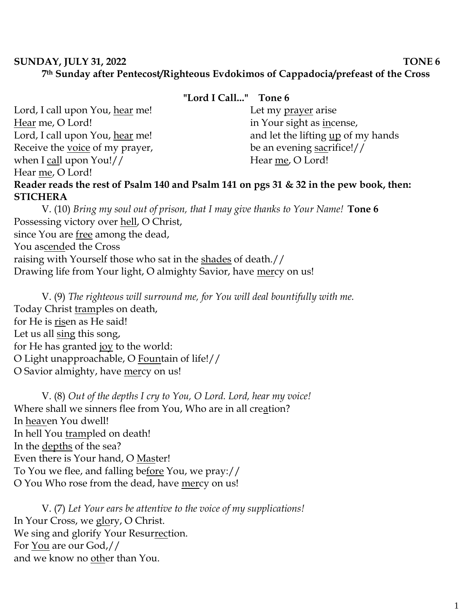## **SUNDAY, JULY 31, 2022 TONE 6 7th Sunday after Pentecost/Righteous Evdokimos of Cappadocia/prefeast of the Cross**

## **"Lord I Call..." Tone 6**

Lord, I call upon You, hear me! Hear me, O Lord! Lord, I call upon You, hear me! Receive the voice of my prayer, when I call upon You!// Hear me, O Lord! Let my prayer arise in Your sight as incense, and let the lifting up of my hands be an evening sacrifice!// Hear me, O Lord! **Reader reads the rest of Psalm 140 and Psalm 141 on pgs 31 & 32 in the pew book, then: STICHERA**

V. (10) *Bring my soul out of prison, that I may give thanks to Your Name!* **Tone 6** Possessing victory over hell, O Christ, since You are free among the dead, You ascended the Cross raising with Yourself those who sat in the shades of death.// Drawing life from Your light, O almighty Savior, have mercy on us!

V. (9) *The righteous will surround me, for You will deal bountifully with me.*  Today Christ tramples on death, for He is risen as He said! Let us all sing this song, for He has granted joy to the world: O Light unapproachable, O Fountain of life!// O Savior almighty, have mercy on us!

V. (8) *Out of the depths I cry to You, O Lord. Lord, hear my voice!*  Where shall we sinners flee from You, Who are in all creation? In heaven You dwell! In hell You trampled on death! In the depths of the sea? Even there is Your hand, O Master! To You we flee, and falling before You, we pray:// O You Who rose from the dead, have mercy on us!

V. (7) *Let Your ears be attentive to the voice of my supplications!* In Your Cross, we glory, O Christ. We sing and glorify Your Resurrection. For You are our God,// and we know no other than You.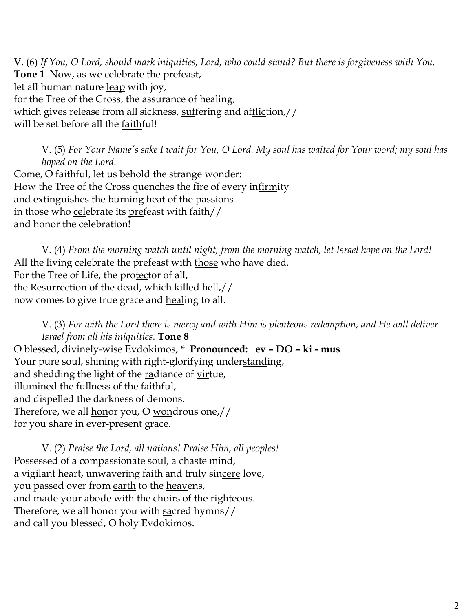V. (6) *If You, O Lord, should mark iniquities, Lord, who could stand? But there is forgiveness with You.*  Tone 1 Now, as we celebrate the prefeast, let all human nature leap with joy, for the Tree of the Cross, the assurance of healing, which gives release from all sickness, suffering and affliction,// will be set before all the faithful!

V. (5) *For Your Name's sake I wait for You, O Lord. My soul has waited for Your word; my soul has hoped on the Lord.* 

Come, O faithful, let us behold the strange wonder: How the Tree of the Cross quenches the fire of every infirmity and extinguishes the burning heat of the passions in those who celebrate its prefeast with faith// and honor the celebration!

V. (4) *From the morning watch until night, from the morning watch, let Israel hope on the Lord!*  All the living celebrate the prefeast with those who have died. For the Tree of Life, the protector of all, the Resurrection of the dead, which killed hell,// now comes to give true grace and healing to all.

V. (3) *For with the Lord there is mercy and with Him is plenteous redemption, and He will deliver Israel from all his iniquities.* **Tone 8** O blessed, divinely-wise Evdokimos, **\* Pronounced: ev – DO – ki - mus** Your pure soul, shining with right-glorifying understanding, and shedding the light of the radiance of virtue, illumined the fullness of the faithful, and dispelled the darkness of demons. Therefore, we all honor you, O wondrous one,// for you share in ever-present grace.

V. (2) *Praise the Lord, all nations! Praise Him, all peoples!* Possessed of a compassionate soul, a chaste mind, a vigilant heart, unwavering faith and truly sincere love, you passed over from earth to the heavens, and made your abode with the choirs of the righteous. Therefore, we all honor you with sacred hymns// and call you blessed, O holy Evdokimos.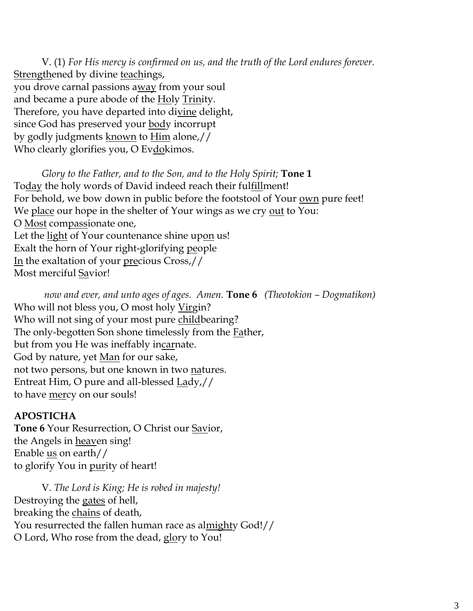V. (1) *For His mercy is confirmed on us, and the truth of the Lord endures forever.*  Strengthened by divine teachings, you drove carnal passions away from your soul and became a pure abode of the Holy Trinity. Therefore, you have departed into di<u>vine</u> delight, since God has preserved your **body** incorrupt by godly judgments known to Him alone,// Who clearly glorifies you, O Evdokimos.

*Glory to the Father, and to the Son, and to the Holy Spirit;* **Tone 1** Today the holy words of David indeed reach their fulfillment! For behold, we bow down in public before the footstool of Your <u>own</u> pure feet! We place our hope in the shelter of Your wings as we cry out to You: O Most compassionate one, Let the light of Your countenance shine upon us! Exalt the horn of Your right-glorifying people In the exaltation of your precious Cross,// Most merciful Savior!

*now and ever, and unto ages of ages. Amen.* **Tone 6** *(Theotokion – Dogmatikon)* Who will not bless you, O most holy <u>Virg</u>in? Who will not sing of your most pure childbearing? The only-begotten Son shone timelessly from the **Father**, but from you He was ineffably incarnate. God by nature, yet <u>Man</u> for our sake, not two persons, but one known in two natures. Entreat Him, O pure and all-blessed Lady,// to have mercy on our souls!

## **APOSTICHA**

Tone 6 Your Resurrection, O Christ our Savior, the Angels in heaven sing! Enable  $us$  on earth//</u> to glorify You in <u>pur</u>ity of heart!

V. *The Lord is King; He is robed in majesty!*  Destroying the gates of hell, breaking the chains of death, You resurrected the fallen human race as almighty God!// O Lord, Who rose from the dead, glory to You!